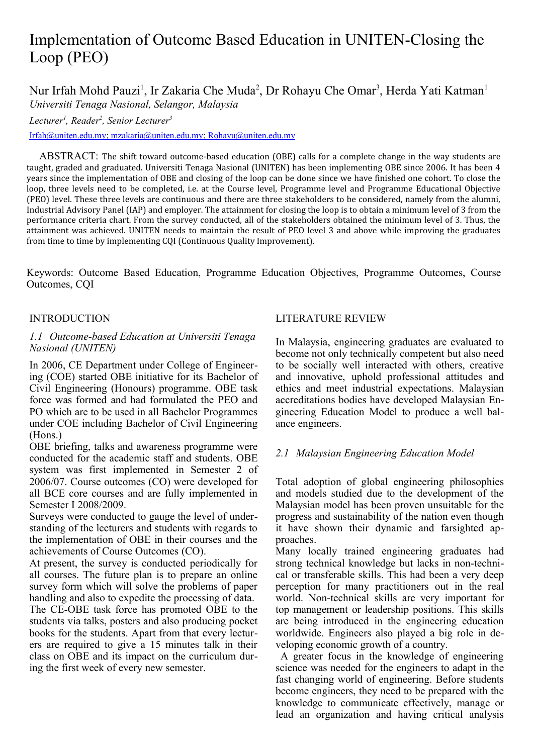# Implementation of Outcome Based Education in UNITEN-Closing the Loop (PEO)

Nur Irfah Mohd Pauzi<sup>1</sup>, Ir Zakaria Che Muda<sup>2</sup>, Dr Rohayu Che Omar<sup>3</sup>, Herda Yati Katman<sup>1</sup> *Universiti Tenaga Nasional, Selangor, Malaysia*

*Lecturer<sup>1</sup> , Reader<sup>2</sup> , Senior Lecturer<sup>3</sup>*

 [Irfah@uniten.edu.my ;](mailto:Irfah@uniten.edu.my) [mzakaria@uniten.edu.my ;](mailto:mzakaria@uniten.edu.my) [Rohayu@uniten.edu.my](mailto:Rohayu@uniten.edu.my)

ABSTRACT: The shift toward outcome-based education (OBE) calls for a complete change in the way students are taught, graded and graduated. Universiti Tenaga Nasional (UNITEN) has been implementing OBE since 2006. It has been 4 years since the implementation of OBE and closing of the loop can be done since we have finished one cohort. To close the loop, three levels need to be completed, i.e. at the Course level, Programme level and Programme Educational Objective (PEO) level. These three levels are continuous and there are three stakeholders to be considered, namely from the alumni, Industrial Advisory Panel (IAP) and employer. The attainment for closing the loop is to obtain a minimum level of 3 from the performance criteria chart. From the survey conducted, all of the stakeholders obtained the minimum level of 3. Thus, the attainment was achieved. UNITEN needs to maintain the result of PEO level 3 and above while improving the graduates from time to time by implementing CQI (Continuous Quality Improvement).

Keywords: Outcome Based Education, Programme Education Objectives, Programme Outcomes, Course Outcomes, CQI

## INTRODUCTION

## *1.1 Outcome-based Education at Universiti Tenaga Nasional (UNITEN)*

In 2006, CE Department under College of Engineering (COE) started OBE initiative for its Bachelor of Civil Engineering (Honours) programme. OBE task force was formed and had formulated the PEO and PO which are to be used in all Bachelor Programmes under COE including Bachelor of Civil Engineering (Hons.)

OBE briefing, talks and awareness programme were conducted for the academic staff and students. OBE system was first implemented in Semester 2 of 2006/07. Course outcomes (CO) were developed for all BCE core courses and are fully implemented in Semester I 2008/2009.

Surveys were conducted to gauge the level of understanding of the lecturers and students with regards to the implementation of OBE in their courses and the achievements of Course Outcomes (CO).

At present, the survey is conducted periodically for all courses. The future plan is to prepare an online survey form which will solve the problems of paper handling and also to expedite the processing of data.

The CE-OBE task force has promoted OBE to the students via talks, posters and also producing pocket books for the students. Apart from that every lecturers are required to give a 15 minutes talk in their class on OBE and its impact on the curriculum during the first week of every new semester.

### LITERATURE REVIEW

In Malaysia, engineering graduates are evaluated to become not only technically competent but also need to be socially well interacted with others, creative and innovative, uphold professional attitudes and ethics and meet industrial expectations. Malaysian accreditations bodies have developed Malaysian Engineering Education Model to produce a well balance engineers.

## *2.1 Malaysian Engineering Education Model*

Total adoption of global engineering philosophies and models studied due to the development of the Malaysian model has been proven unsuitable for the progress and sustainability of the nation even though it have shown their dynamic and farsighted approaches.

Many locally trained engineering graduates had strong technical knowledge but lacks in non-technical or transferable skills. This had been a very deep perception for many practitioners out in the real world. Non-technical skills are very important for top management or leadership positions. This skills are being introduced in the engineering education worldwide. Engineers also played a big role in developing economic growth of a country.

 A greater focus in the knowledge of engineering science was needed for the engineers to adapt in the fast changing world of engineering. Before students become engineers, they need to be prepared with the knowledge to communicate effectively, manage or lead an organization and having critical analysis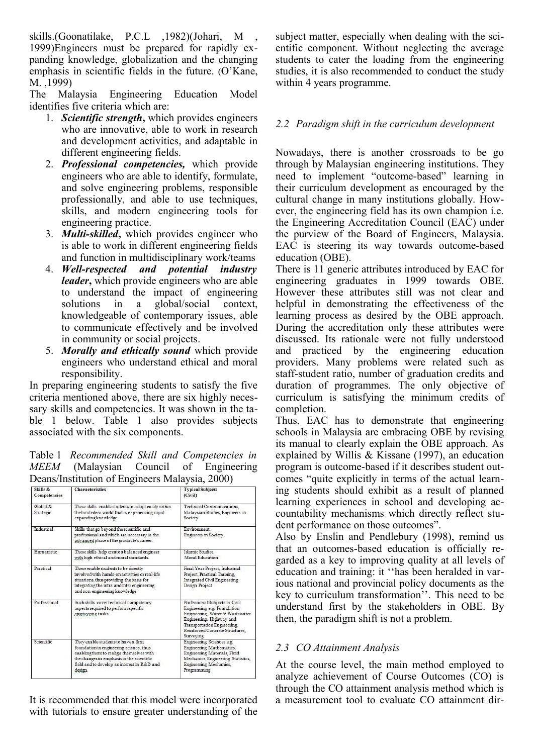skills.(Goonatilake, P.C.L ,1982)(Johari, M , 1999)Engineers must be prepared for rapidly expanding knowledge, globalization and the changing emphasis in scientific fields in the future. (O'Kane, M. ,1999)

The Malaysia Engineering Education Model identifies five criteria which are:

- 1. *Scientific strength***,** which provides engineers who are innovative, able to work in research and development activities, and adaptable in different engineering fields.
- 2. *Professional competencies,* which provide engineers who are able to identify, formulate, and solve engineering problems, responsible professionally, and able to use techniques, skills, and modern engineering tools for engineering practice.
- 3. *Multi-skilled***,** which provides engineer who is able to work in different engineering fields and function in multidisciplinary work/teams
- 4. *Well-respected and potential industry leader***,** which provide engineers who are able to understand the impact of engineering solutions in a global/social context, knowledgeable of contemporary issues, able to communicate effectively and be involved in community or social projects.
- 5. *Morally and ethically sound* which provide engineers who understand ethical and moral responsibility.

In preparing engineering students to satisfy the five criteria mentioned above, there are six highly necessary skills and competencies. It was shown in the table 1 below. Table 1 also provides subjects associated with the six components.

Table 1 *Recommended Skill and Competencies in MEEM* (Malaysian Council of Engineering Deans/Institution of Engineers Malaysia, 2000)

| Skills &<br><b>Competencies</b> | <b>Characteristics</b>                                                                                                                                                                                                            | <b>Typical Subjects</b><br>(Civil)<br>Technical Communications.<br>Malaysian Studies, Engineers in<br>Society                                                                                               |  |  |  |  |  |
|---------------------------------|-----------------------------------------------------------------------------------------------------------------------------------------------------------------------------------------------------------------------------------|-------------------------------------------------------------------------------------------------------------------------------------------------------------------------------------------------------------|--|--|--|--|--|
| Global &<br>Strategic           | These skills enable students to adapt easily within<br>the borderless world that is experiencing rapid<br>expanding knowledge.                                                                                                    |                                                                                                                                                                                                             |  |  |  |  |  |
| Industrial                      | Skills that go beyond the scientific and<br>professional and which are necessary in the<br>advanced phase of the graduate's career.                                                                                               | Environment.<br>Engineers in Society,                                                                                                                                                                       |  |  |  |  |  |
| Humanistic                      | These skills help create a balanced engineer<br>with high ethical and moral standards.                                                                                                                                            | Islamic Studies.<br>Moral Education                                                                                                                                                                         |  |  |  |  |  |
| Practical                       | These enable students to be directly<br>involved with hands-on activities or real-life<br>situations, thus providing the basis for<br>integrating the intra and inter engineering<br>and non-engineering knowledge                | Final Year Project, Industrial<br>Project. Practical Training.<br><b>Integrated Civil Engineering</b><br>Design Project                                                                                     |  |  |  |  |  |
| Professional                    | Such skills cover technical competency<br>aspects required to perform specific<br>engineering tasks.                                                                                                                              | Professional Subjects in Civil<br>Engineering e.g. Foundation<br>Engineering, Water & Wastewater<br>Engineering, Highway and<br>Transportation Engineering.<br>Reinforced Concrete Structures.<br>Surveying |  |  |  |  |  |
| <b>Scientific</b>               | They enable students to have a firm<br>foundation in engineering science, thus<br>enabling them to realign themselves with<br>the changes in emphasis in the scientific<br>field and to develop an interest in R&D and<br>design. | Engineering Sciences e.g.<br>Engineering Mathematics,<br>Engineering Materials, Fluid<br>Mechanics, Engineering Statistics,<br>Engineering Mechanics,<br>Programming                                        |  |  |  |  |  |

It is recommended that this model were incorporated with tutorials to ensure greater understanding of the

subject matter, especially when dealing with the scientific component. Without neglecting the average students to cater the loading from the engineering studies, it is also recommended to conduct the study within 4 years programme.

## *2.2 Paradigm shift in the curriculum development*

Nowadays, there is another crossroads to be go through by Malaysian engineering institutions. They need to implement "outcome-based" learning in their curriculum development as encouraged by the cultural change in many institutions globally. However, the engineering field has its own champion i.e. the Engineering Accreditation Council (EAC) under the purview of the Board of Engineers, Malaysia. EAC is steering its way towards outcome-based education (OBE).

There is 11 generic attributes introduced by EAC for engineering graduates in 1999 towards OBE. However these attributes still was not clear and helpful in demonstrating the effectiveness of the learning process as desired by the OBE approach. During the accreditation only these attributes were discussed. Its rationale were not fully understood and practiced by the engineering education providers. Many problems were related such as staff-student ratio, number of graduation credits and duration of programmes. The only objective of curriculum is satisfying the minimum credits of completion.

Thus, EAC has to demonstrate that engineering schools in Malaysia are embracing OBE by revising its manual to clearly explain the OBE approach. As explained by Willis & Kissane (1997), an education program is outcome-based if it describes student outcomes "quite explicitly in terms of the actual learning students should exhibit as a result of planned learning experiences in school and developing accountability mechanisms which directly reflect student performance on those outcomes".

Also by Enslin and Pendlebury (1998), remind us that an outcomes-based education is officially regarded as a key to improving quality at all levels of education and training: it ''has been heralded in various national and provincial policy documents as the key to curriculum transformation''. This need to be understand first by the stakeholders in OBE. By then, the paradigm shift is not a problem.

## *2.3 CO Attainment Analysis*

At the course level, the main method employed to analyze achievement of Course Outcomes (CO) is through the CO attainment analysis method which is a measurement tool to evaluate CO attainment dir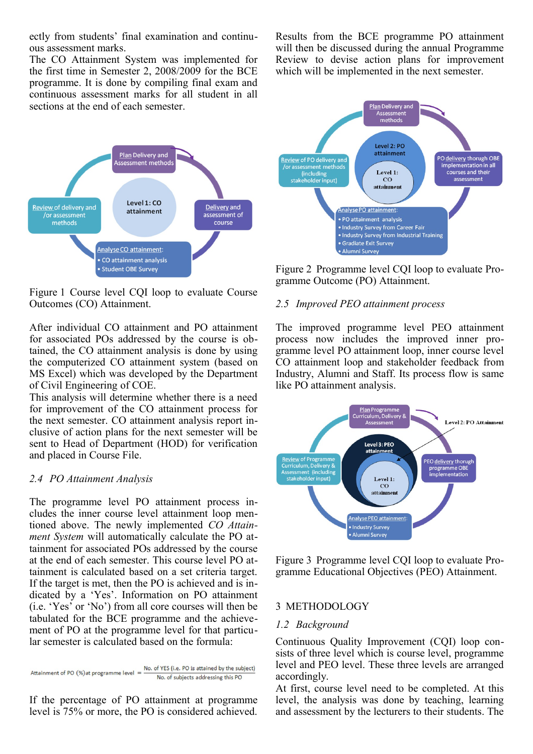ectly from students' final examination and continuous assessment marks.

The CO Attainment System was implemented for the first time in Semester 2, 2008/2009 for the BCE programme. It is done by compiling final exam and continuous assessment marks for all student in all sections at the end of each semester.



Figure 1 Course level CQI loop to evaluate Course Outcomes (CO) Attainment.

After individual CO attainment and PO attainment for associated POs addressed by the course is obtained, the CO attainment analysis is done by using the computerized CO attainment system (based on MS Excel) which was developed by the Department of Civil Engineering of COE.

This analysis will determine whether there is a need for improvement of the CO attainment process for the next semester. CO attainment analysis report inclusive of action plans for the next semester will be sent to Head of Department (HOD) for verification and placed in Course File.

#### *2.4 PO Attainment Analysis*

The programme level PO attainment process includes the inner course level attainment loop mentioned above. The newly implemented *CO Attainment System* will automatically calculate the PO attainment for associated POs addressed by the course at the end of each semester. This course level PO attainment is calculated based on a set criteria target. If the target is met, then the PO is achieved and is indicated by a 'Yes'. Information on PO attainment (i.e. 'Yes' or 'No') from all core courses will then be tabulated for the BCE programme and the achievement of PO at the programme level for that particular semester is calculated based on the formula:

Attainment of PO (%) at programme level  $=$   $\frac{N_{\text{O}}}{N_{\text{O}}}$  of YES (i.e. PO is attained by the subject)

If the percentage of PO attainment at programme level is 75% or more, the PO is considered achieved.

Results from the BCE programme PO attainment will then be discussed during the annual Programme Review to devise action plans for improvement which will be implemented in the next semester.



Figure 2 Programme level CQI loop to evaluate Programme Outcome (PO) Attainment.

#### *2.5 Improved PEO attainment process*

The improved programme level PEO attainment process now includes the improved inner programme level PO attainment loop, inner course level CO attainment loop and stakeholder feedback from Industry, Alumni and Staff. Its process flow is same like PO attainment analysis.



Figure 3 Programme level CQI loop to evaluate Programme Educational Objectives (PEO) Attainment.

#### 3 METHODOLOGY

#### *1.2 Background*

Continuous Quality Improvement (CQI) loop consists of three level which is course level, programme level and PEO level. These three levels are arranged accordingly.

At first, course level need to be completed. At this level, the analysis was done by teaching, learning and assessment by the lecturers to their students. The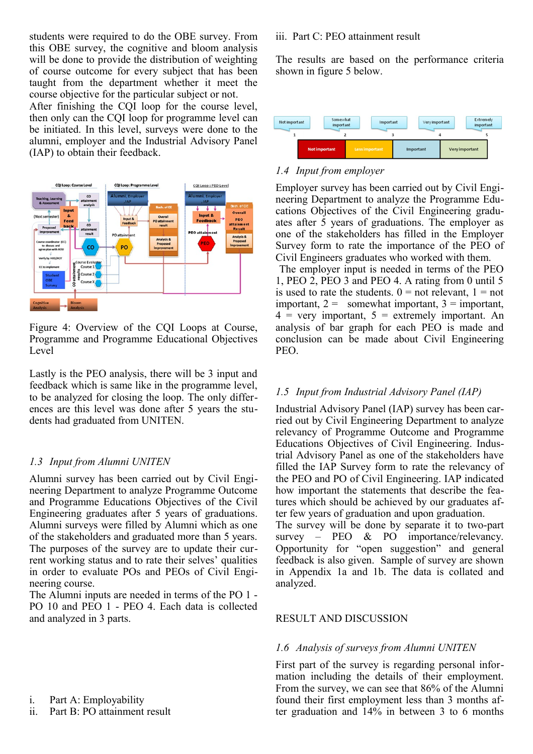students were required to do the OBE survey. From this OBE survey, the cognitive and bloom analysis will be done to provide the distribution of weighting of course outcome for every subject that has been taught from the department whether it meet the course objective for the particular subject or not.

After finishing the CQI loop for the course level, then only can the CQI loop for programme level can be initiated. In this level, surveys were done to the alumni, employer and the Industrial Advisory Panel (IAP) to obtain their feedback.



Figure 4: Overview of the CQI Loops at Course, Programme and Programme Educational Objectives Level

Lastly is the PEO analysis, there will be 3 input and feedback which is same like in the programme level, to be analyzed for closing the loop. The only differences are this level was done after 5 years the students had graduated from UNITEN.

#### *1.3 Input from Alumni UNITEN*

Alumni survey has been carried out by Civil Engineering Department to analyze Programme Outcome and Programme Educations Objectives of the Civil Engineering graduates after 5 years of graduations. Alumni surveys were filled by Alumni which as one of the stakeholders and graduated more than 5 years. The purposes of the survey are to update their current working status and to rate their selves' qualities in order to evaluate POs and PEOs of Civil Engineering course.

The Alumni inputs are needed in terms of the PO 1 - PO 10 and PEO 1 - PEO 4. Each data is collected and analyzed in 3 parts.

i. Part A: Employability

ii. Part B: PO attainment result

#### iii. Part C: PEO attainment result

The results are based on the performance criteria shown in figure 5 below.



#### *1.4 Input from employer*

Employer survey has been carried out by Civil Engineering Department to analyze the Programme Educations Objectives of the Civil Engineering graduates after 5 years of graduations. The employer as one of the stakeholders has filled in the Employer Survey form to rate the importance of the PEO of Civil Engineers graduates who worked with them. The employer input is needed in terms of the PEO

1, PEO 2, PEO 3 and PEO 4. A rating from 0 until 5 is used to rate the students.  $0 =$  not relevant,  $1 =$  not important,  $2 =$  somewhat important,  $3 =$  important,  $4 = \text{very important}, 5 = \text{extremely important}.$  An analysis of bar graph for each PEO is made and conclusion can be made about Civil Engineering PEO.

#### *1.5 Input from Industrial Advisory Panel (IAP)*

Industrial Advisory Panel (IAP) survey has been carried out by Civil Engineering Department to analyze relevancy of Programme Outcome and Programme Educations Objectives of Civil Engineering. Industrial Advisory Panel as one of the stakeholders have filled the IAP Survey form to rate the relevancy of the PEO and PO of Civil Engineering. IAP indicated how important the statements that describe the features which should be achieved by our graduates after few years of graduation and upon graduation.

The survey will be done by separate it to two-part survey – PEO & PO importance/relevancy. Opportunity for "open suggestion" and general feedback is also given. Sample of survey are shown in Appendix 1a and 1b. The data is collated and analyzed.

#### RESULT AND DISCUSSION

#### *1.6 Analysis of surveys from Alumni UNITEN*

First part of the survey is regarding personal information including the details of their employment. From the survey, we can see that 86% of the Alumni found their first employment less than 3 months after graduation and 14% in between 3 to 6 months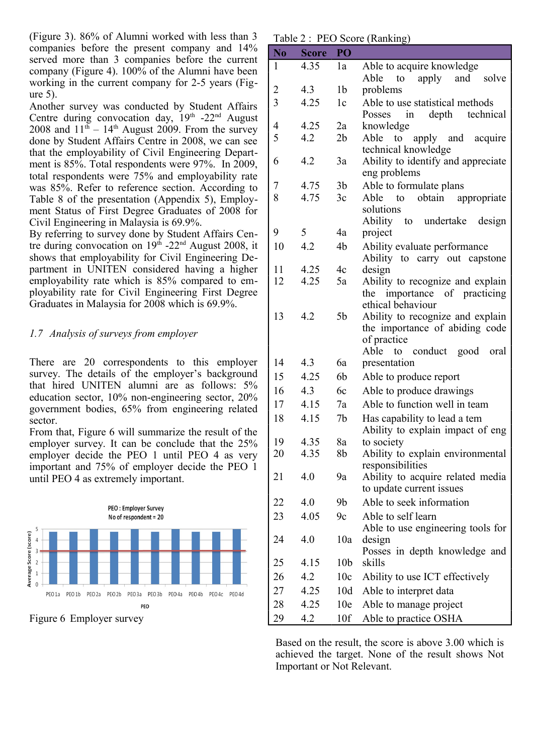(Figure 3). 86% of Alumni worked with less than 3 companies before the present company and 14% served more than 3 companies before the current company (Figure 4). 100% of the Alumni have been working in the current company for 2-5 years (Figure 5).

Another survey was conducted by Student Affairs Centre during convocation day,  $19<sup>th</sup> -22<sup>nd</sup>$  August 2008 and  $11<sup>th</sup> - 14<sup>th</sup>$  August 2009. From the survey done by Student Affairs Centre in 2008, we can see that the employability of Civil Engineering Department is 85%. Total respondents were 97%. In 2009, total respondents were 75% and employability rate was 85%. Refer to reference section. According to Table 8 of the presentation (Appendix 5), Employment Status of First Degree Graduates of 2008 for Civil Engineering in Malaysia is 69.9%.

By referring to survey done by Student Affairs Centre during convocation on  $19<sup>th</sup>$  -22<sup>nd</sup> August 2008, it shows that employability for Civil Engineering Department in UNITEN considered having a higher employability rate which is 85% compared to employability rate for Civil Engineering First Degree Graduates in Malaysia for 2008 which is 69.9%.

## *1.7 Analysis of surveys from employer*

There are 20 correspondents to this employer survey. The details of the employer's background that hired UNITEN alumni are as follows: 5% education sector, 10% non-engineering sector, 20% government bodies, 65% from engineering related sector.

From that, Figure 6 will summarize the result of the employer survey. It can be conclude that the 25% employer decide the PEO 1 until PEO 4 as very important and 75% of employer decide the PEO 1 until PEO 4 as extremely important.



Table 2 : PEO Score (Ranking)

| 4.35<br>Able to acquire knowledge<br>1<br>1a<br>apply and<br>Able<br>to<br>solve<br>$\overline{2}$<br>1 <sub>b</sub><br>4.3<br>problems<br>3<br>4.25<br>Able to use statistical methods<br>1c<br>depth<br>Posses<br>technical<br>in<br>4.25<br>4<br>2a<br>knowledge<br>5<br>4.2<br>2 <sub>b</sub><br>Able to apply and acquire<br>technical knowledge<br>6<br>4.2<br>Ability to identify and appreciate<br>3a<br>eng problems |
|-------------------------------------------------------------------------------------------------------------------------------------------------------------------------------------------------------------------------------------------------------------------------------------------------------------------------------------------------------------------------------------------------------------------------------|
|                                                                                                                                                                                                                                                                                                                                                                                                                               |
|                                                                                                                                                                                                                                                                                                                                                                                                                               |
|                                                                                                                                                                                                                                                                                                                                                                                                                               |
|                                                                                                                                                                                                                                                                                                                                                                                                                               |
|                                                                                                                                                                                                                                                                                                                                                                                                                               |
|                                                                                                                                                                                                                                                                                                                                                                                                                               |
|                                                                                                                                                                                                                                                                                                                                                                                                                               |
| 3 <sub>b</sub><br>Able to formulate plans<br>7<br>4.75                                                                                                                                                                                                                                                                                                                                                                        |
| 4.75<br>8<br>3c<br>Able<br>obtain appropriate<br>to<br>solutions                                                                                                                                                                                                                                                                                                                                                              |
| Ability to undertake<br>design                                                                                                                                                                                                                                                                                                                                                                                                |
| 5<br>9<br>4a<br>project                                                                                                                                                                                                                                                                                                                                                                                                       |
| 4.2<br>10<br>4b<br>Ability evaluate performance<br>Ability to carry out capstone                                                                                                                                                                                                                                                                                                                                              |
| 11<br>4.25<br>4c<br>design                                                                                                                                                                                                                                                                                                                                                                                                    |
| 12<br>4.25<br>Ability to recognize and explain<br>5a                                                                                                                                                                                                                                                                                                                                                                          |
| the importance of practicing<br>ethical behaviour                                                                                                                                                                                                                                                                                                                                                                             |
| 5 <sub>b</sub><br>13<br>4.2<br>Ability to recognize and explain                                                                                                                                                                                                                                                                                                                                                               |
| the importance of abiding code                                                                                                                                                                                                                                                                                                                                                                                                |
| of practice                                                                                                                                                                                                                                                                                                                                                                                                                   |
| to conduct good<br>Able<br>oral                                                                                                                                                                                                                                                                                                                                                                                               |
| 14<br>4.3<br>6a<br>presentation                                                                                                                                                                                                                                                                                                                                                                                               |
| 4.25<br>6b<br>15<br>Able to produce report                                                                                                                                                                                                                                                                                                                                                                                    |
| 4.3<br>Able to produce drawings<br>16<br>6c                                                                                                                                                                                                                                                                                                                                                                                   |
| Able to function well in team<br>4.15<br>7a<br>17                                                                                                                                                                                                                                                                                                                                                                             |
| 4.15<br>7b<br>18<br>Has capability to lead a tem<br>Ability to explain impact of eng                                                                                                                                                                                                                                                                                                                                          |
| 19<br>4.35<br>8a<br>to society                                                                                                                                                                                                                                                                                                                                                                                                |
| 20<br>4.35<br>8b<br>Ability to explain environmental                                                                                                                                                                                                                                                                                                                                                                          |
| responsibilities                                                                                                                                                                                                                                                                                                                                                                                                              |
| 21<br>4.0<br>9a<br>Ability to acquire related media<br>to update current issues                                                                                                                                                                                                                                                                                                                                               |
| Able to seek information<br>22<br>4.0<br>9b                                                                                                                                                                                                                                                                                                                                                                                   |
| Able to self learn<br>4.05<br>23<br>9c<br>Able to use engineering tools for                                                                                                                                                                                                                                                                                                                                                   |
| 24<br>4.0<br>10a<br>design                                                                                                                                                                                                                                                                                                                                                                                                    |
| Posses in depth knowledge and<br>skills<br>25<br>4.15<br>10 <sub>b</sub>                                                                                                                                                                                                                                                                                                                                                      |
| 4.2<br>Ability to use ICT effectively<br>26<br>10c                                                                                                                                                                                                                                                                                                                                                                            |
| 27<br>10d<br>4.25<br>Able to interpret data                                                                                                                                                                                                                                                                                                                                                                                   |
| 28<br>10e<br>Able to manage project<br>4.25                                                                                                                                                                                                                                                                                                                                                                                   |
| 29<br>4.2<br>10f<br>Able to practice OSHA                                                                                                                                                                                                                                                                                                                                                                                     |

Based on the result, the score is above 3.00 which is achieved the target. None of the result shows Not Important or Not Relevant.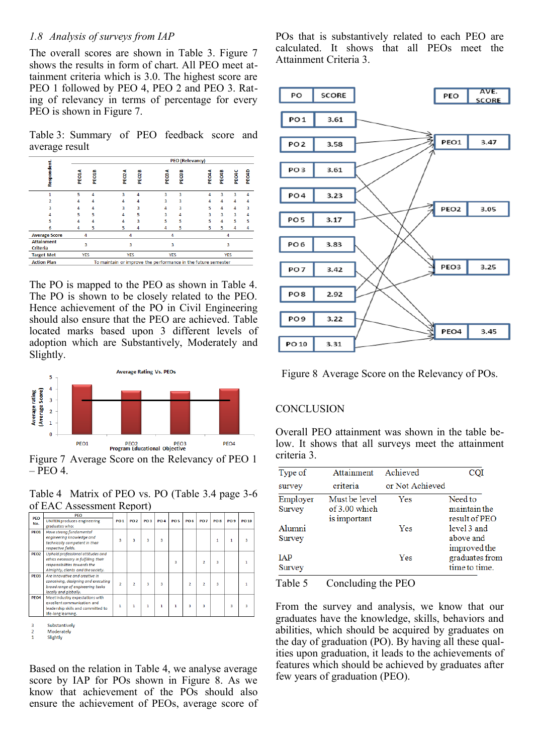## *1.8 Analysis of surveys from IAP*

The overall scores are shown in Table 3. Figure 7 shows the results in form of chart. All PEO meet attainment criteria which is 3.0. The highest score are PEO 1 followed by PEO 4, PEO 2 and PEO 3. Rating of relevancy in terms of percentage for every PEO is shown in Figure 7.

Table 3: Summary of PEO feedback score and average result

|                               | <b>PEO</b> (Relevancy)                                        |       |                    |            |                    |                   |            |       |       |       |
|-------------------------------|---------------------------------------------------------------|-------|--------------------|------------|--------------------|-------------------|------------|-------|-------|-------|
| Respondent.                   | PEO1A                                                         | PEO1B | <f<br>PEO2,</f<br> | m<br>PEOZI | <f<br>PEOS,</f<br> | m<br><b>PEOSI</b> | PEO4A      | PEO4B | PEOAC | PEO4D |
| 1                             | 5                                                             | 4     | 3                  | 4          | 3                  | 3                 | 4          | 3     | 3     | 4     |
|                               | Δ                                                             | Δ     | Δ                  | 4          | 3                  | 3                 | Δ          | 4     | 4     | 4     |
| ٩                             |                                                               | Δ     | 3                  | 3          | Δ                  | 3                 | 5          | 4     | 4     | 3     |
|                               | 5                                                             | 5     | Δ                  | 5          | R                  | 4                 | 3          | 3     | 3     | 4     |
| 5                             |                                                               |       | Δ                  | 3          | 5                  | 5                 | 5          | 4     | 5     | 5     |
| б                             | 4                                                             | 5     | 5                  | 4          | 4                  | 5                 | 5          | 5     | 4     |       |
| <b>Average Score</b>          | 4                                                             |       | 4                  |            | 4                  |                   |            | 4     |       |       |
| <b>Attainment</b><br>Criteria | 3                                                             |       | 3                  |            | 3                  |                   | 3          |       |       |       |
| <b>Target Met</b>             | <b>YES</b>                                                    |       | <b>YES</b>         |            | <b>YES</b>         |                   | <b>YES</b> |       |       |       |
| <b>Action Plan</b>            | To maintain or improve the performance in the future semester |       |                    |            |                    |                   |            |       |       |       |

The PO is mapped to the PEO as shown in Table 4. The PO is shown to be closely related to the PEO. Hence achievement of the PO in Civil Engineering should also ensure that the PEO are achieved. Table located marks based upon 3 different levels of adoption which are Substantively, Moderately and Slightly.



Figure 7 Average Score on the Relevancy of PEO 1  $-$  PEO 4.

Table 4 Matrix of PEO vs. PO (Table 3.4 page 3-6 of EAC Assessment Report)

| <b>PEO</b>       | <b>PEO</b>                           |                |             |                 |            |                 |                 |                 |                 |                 |       |
|------------------|--------------------------------------|----------------|-------------|-----------------|------------|-----------------|-----------------|-----------------|-----------------|-----------------|-------|
|                  | <b>UNITEN produces engineering</b>   | <b>PO1</b>     | <b>PO 2</b> | PO <sub>3</sub> | <b>PO4</b> | PO <sub>5</sub> | PO <sub>6</sub> | PO <sub>7</sub> | PO <sub>8</sub> | PO <sub>9</sub> | PO 10 |
| No.              | graduates who:                       |                |             |                 |            |                 |                 |                 |                 |                 |       |
| PEO1             | Have strong fundamental              |                |             |                 |            |                 |                 |                 |                 |                 |       |
|                  | engineering knowledge and            |                | R           | R               | 3          |                 |                 |                 | 1               | 1               |       |
|                  | technically competent in their       | 3              |             |                 |            |                 |                 |                 |                 |                 | 3     |
|                  | respective fields.                   |                |             |                 |            |                 |                 |                 |                 |                 |       |
| PEO <sub>2</sub> | Uphold professional attitudes and    |                |             |                 |            |                 |                 |                 |                 |                 |       |
|                  | ethics necessary in fulfilling their |                |             |                 |            | 3               |                 | $\overline{2}$  | 3               |                 | 1     |
|                  | responsibilities towards the         |                |             |                 |            |                 |                 |                 |                 |                 |       |
|                  | Almighty, clients and the society.   |                |             |                 |            |                 |                 |                 |                 |                 |       |
| PEO3             | Are innovative and creative in       |                |             |                 |            |                 |                 |                 |                 |                 |       |
|                  | conceiving, designing and executing  | $\overline{2}$ |             |                 | з          |                 |                 |                 |                 |                 | 1     |
|                  | broad range of engineering tasks     |                | 2           | 3               |            |                 | 2               | 2               | 3               |                 |       |
|                  | locally and alobally.                |                |             |                 |            |                 |                 |                 |                 |                 |       |
| PEO <sub>4</sub> | Meet industry expectations with      |                |             |                 |            |                 |                 |                 |                 |                 |       |
|                  | excellent communication and          |                |             |                 |            |                 |                 |                 |                 |                 |       |
|                  | leadership skills and committed to   | 1              |             | 1               | 1          | 1               | 3               | 3               |                 | 3               | 3     |
|                  | life-long learning.                  |                |             |                 |            |                 |                 |                 |                 |                 |       |

Substantively Moderately

Slightly

Based on the relation in Table 4, we analyse average score by IAP for POs shown in Figure 8. As we know that achievement of the POs should also ensure the achievement of PEOs, average score of POs that is substantively related to each PEO are calculated. It shows that all PEOs meet the Attainment Criteria 3.



Figure 8 Average Score on the Relevancy of POs.

## **CONCLUSION**

Overall PEO attainment was shown in the table below. It shows that all surveys meet the attainment criteria 3.

| Type of              | Attainment                                     | Achieved        | COI                                      |
|----------------------|------------------------------------------------|-----------------|------------------------------------------|
| survey               | criteria                                       | or Not Achieved |                                          |
| Employer<br>Survey   | Must be level<br>of 3.00 which<br>is important | Yes             | Need to<br>maintain the<br>result of PEO |
| Alumni<br>Survey     |                                                | Yes             | level 3 and<br>above and<br>improved the |
| <b>IAP</b><br>Survey |                                                | Yes             | graduates from<br>time to time.          |

Table 5 Concluding the PEO

From the survey and analysis, we know that our graduates have the knowledge, skills, behaviors and abilities, which should be acquired by graduates on the day of graduation (PO). By having all these qualities upon graduation, it leads to the achievements of features which should be achieved by graduates after few years of graduation (PEO).